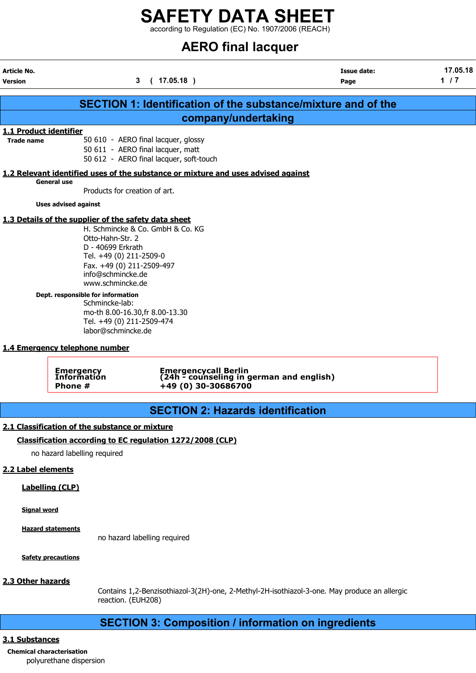according to Regulation (EC) No. 1907/2006 (REACH)

# AERO final lacquer

|                                                    |                                                                                                                                                                                                | <b>ALRO TINGI ISCQUED</b>                                                                                           |                                                                      |                   |
|----------------------------------------------------|------------------------------------------------------------------------------------------------------------------------------------------------------------------------------------------------|---------------------------------------------------------------------------------------------------------------------|----------------------------------------------------------------------|-------------------|
| Article No.<br><b>Version</b>                      |                                                                                                                                                                                                | 3<br>(17.05.18)                                                                                                     | <b>Issue date:</b><br>Page                                           | 17.05.18<br>$1/7$ |
|                                                    |                                                                                                                                                                                                |                                                                                                                     | <b>SECTION 1: Identification of the substance/mixture and of the</b> |                   |
|                                                    |                                                                                                                                                                                                | company/undertaking                                                                                                 |                                                                      |                   |
| <b>1.1 Product identifier</b><br><b>Trade name</b> |                                                                                                                                                                                                | 50 610 - AERO final lacquer, glossy<br>50 611 - AERO final lacquer, matt<br>50 612 - AERO final lacquer, soft-touch |                                                                      |                   |
|                                                    |                                                                                                                                                                                                | 1.2 Relevant identified uses of the substance or mixture and uses advised against                                   |                                                                      |                   |
| <b>General use</b>                                 | Products for creation of art.                                                                                                                                                                  |                                                                                                                     |                                                                      |                   |
|                                                    | <b>Uses advised against</b>                                                                                                                                                                    |                                                                                                                     |                                                                      |                   |
|                                                    | 1.3 Details of the supplier of the safety data sheet<br>Otto-Hahn-Str. 2<br>D - 40699 Erkrath<br>Tel. +49 (0) 211-2509-0<br>Fax. +49 (0) 211-2509-497<br>info@schmincke.de<br>www.schmincke.de | H. Schmincke & Co. GmbH & Co. KG                                                                                    |                                                                      |                   |
|                                                    | Dept. responsible for information<br>Schmincke-lab:<br>Tel. +49 (0) 211-2509-474<br>labor@schmincke.de                                                                                         | mo-th 8.00-16.30, fr 8.00-13.30                                                                                     |                                                                      |                   |
|                                                    | 1.4 Emergency telephone number                                                                                                                                                                 |                                                                                                                     |                                                                      |                   |
|                                                    | <b>Emergency</b><br>Information<br>Phone #                                                                                                                                                     | Emergencycall Berlin<br>(24h - counseling in german and english)<br>+49 (0) 30-30686700                             |                                                                      |                   |
|                                                    |                                                                                                                                                                                                | <b>SECTION 2: Hazards identification</b>                                                                            |                                                                      |                   |
|                                                    | 2.1 Classification of the substance or mixture                                                                                                                                                 |                                                                                                                     |                                                                      |                   |
|                                                    |                                                                                                                                                                                                | Classification according to EC regulation 1272/2008 (CLP)                                                           |                                                                      |                   |
|                                                    |                                                                                                                                                                                                |                                                                                                                     |                                                                      |                   |

no hazard labelling required

### 2.2 Label elements

Labelling (CLP)

Signal word

Hazard statements

no hazard labelling required

**Safety precautions** 

### 2.3 Other hazards

Contains 1,2-Benzisothiazol-3(2H)-one, 2-Methyl-2H-isothiazol-3-one. May produce an allergic reaction. (EUH208)

## SECTION 3: Composition / information on ingredients

### 3.1 Substances

Chemical characterisation polyurethane dispersion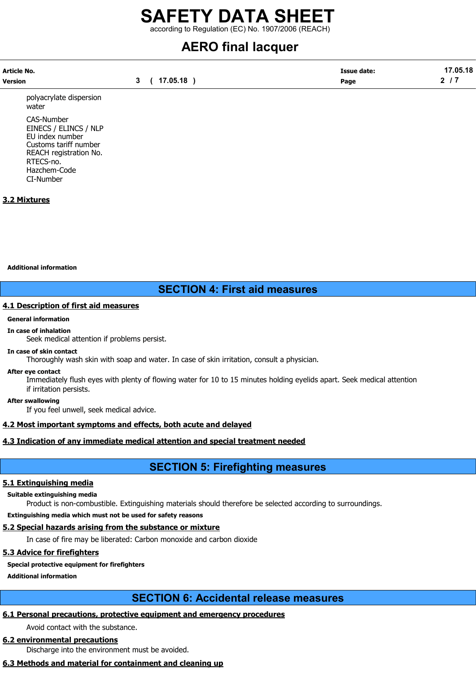according to Regulation (EC) No. 1907/2006 (REACH)

# AERO final lacquer

| Article No. |          | <b>Issue date:</b> | 17.05.18 |
|-------------|----------|--------------------|----------|
| Version     | 17.05.18 | Page               | ◠        |

polyacrylate dispersion water CAS-Number

EINECS / ELINCS / NLP EU index number Customs tariff number REACH registration No. RTECS-no. Hazchem-Code CI-Number

### 3.2 Mixtures

Additional information

### SECTION 4: First aid measures

### 4.1 Description of first aid measures

### General information

### In case of inhalation

Seek medical attention if problems persist.

### In case of skin contact

Thoroughly wash skin with soap and water. In case of skin irritation, consult a physician.

### After eye contact

Immediately flush eyes with plenty of flowing water for 10 to 15 minutes holding eyelids apart. Seek medical attention if irritation persists.

### After swallowing

If you feel unwell, seek medical advice.

### 4.2 Most important symptoms and effects, both acute and delayed

### 4.3 Indication of any immediate medical attention and special treatment needed

## SECTION 5: Firefighting measures

### 5.1 Extinguishing media

### Suitable extinguishing media

Product is non-combustible. Extinguishing materials should therefore be selected according to surroundings.

Extinguishing media which must not be used for safety reasons

### 5.2 Special hazards arising from the substance or mixture

In case of fire may be liberated: Carbon monoxide and carbon dioxide

### 5.3 Advice for firefighters

### Special protective equipment for firefighters

Additional information

### SECTION 6: Accidental release measures

### 6.1 Personal precautions, protective equipment and emergency procedures

Avoid contact with the substance.

### 6.2 environmental precautions

Discharge into the environment must be avoided.

### 6.3 Methods and material for containment and cleaning up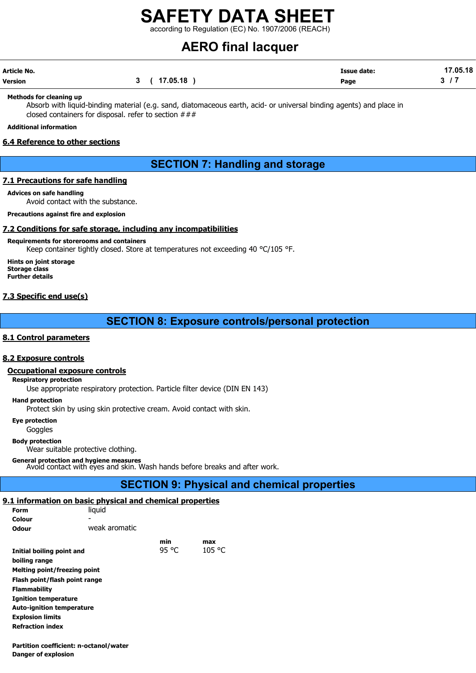according to Regulation (EC) No. 1907/2006 (REACH)

# AERO final lacquer

| Article No. |              | <b>Issue date:</b> | 17.05.18 |
|-------------|--------------|--------------------|----------|
| Version     | 3 ( 17.05.18 | Page               |          |

#### Methods for cleaning up

Absorb with liquid-binding material (e.g. sand, diatomaceous earth, acid- or universal binding agents) and place in closed containers for disposal. refer to section ###

### Additional information

### 6.4 Reference to other sections

## SECTION 7: Handling and storage

### 7.1 Precautions for safe handling

Advices on safe handling Avoid contact with the substance.

Precautions against fire and explosion

### 7.2 Conditions for safe storage, including any incompatibilities

Requirements for storerooms and containers

Keep container tightly closed. Store at temperatures not exceeding 40 °C/105 °F.

Hints on joint storage Storage class Further details

### 7.3 Specific end use(s)

SECTION 8: Exposure controls/personal protection

### 8.1 Control parameters

### 8.2 Exposure controls

### Occupational exposure controls

Respiratory protection

Use appropriate respiratory protection. Particle filter device (DIN EN 143)

Hand protection

Protect skin by using skin protective cream. Avoid contact with skin.

Eye protection

Goggles

Body protection

Wear suitable protective clothing.

General protection and hygiene measures Avoid contact with eyes and skin. Wash hands before breaks and after work.

### SECTION 9: Physical and chemical properties

### 9.1 information on basic physical and chemical properties

| Form                             | liguid        |       |        |
|----------------------------------|---------------|-------|--------|
| Colour                           |               |       |        |
| Odour                            | weak aromatic |       |        |
|                                  |               | min   | max    |
| Initial boiling point and        |               | 95 °C | 105 °C |
| boiling range                    |               |       |        |
| Melting point/freezing point     |               |       |        |
| Flash point/flash point range    |               |       |        |
| <b>Flammability</b>              |               |       |        |
| <b>Ignition temperature</b>      |               |       |        |
| <b>Auto-ignition temperature</b> |               |       |        |
| <b>Explosion limits</b>          |               |       |        |
| <b>Refraction index</b>          |               |       |        |

Partition coefficient: n-octanol/water Danger of explosion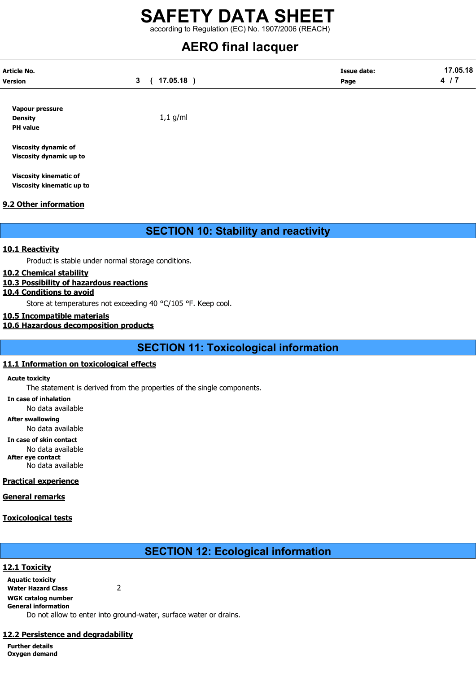according to Regulation (EC) No. 1907/2006 (REACH)

# AERO final lacquer

| Article No.    |          | <b>Issue date:</b> | 17.05.18 |
|----------------|----------|--------------------|----------|
| <b>Version</b> | 17.05.18 | Page               |          |
|                |          |                    |          |

Vapour pressure Density **Density** 1,1 g/ml PH value

Viscosity dynamic of Viscosity dynamic up to

Viscosity kinematic of Viscosity kinematic up to

### 9.2 Other information

SECTION 10: Stability and reactivity

### 10.1 Reactivity

Product is stable under normal storage conditions.

### 10.2 Chemical stability

### 10.3 Possibility of hazardous reactions

### 10.4 Conditions to avoid

Store at temperatures not exceeding 40 °C/105 °F. Keep cool.

### 10.5 Incompatible materials

### 10.6 Hazardous decomposition products

SECTION 11: Toxicological information

### 11.1 Information on toxicological effects

Acute toxicity

The statement is derived from the properties of the single components.

In case of inhalation

No data available

After swallowing

No data available

In case of skin contact

No data available After eye contact

No data available

### Practical experience

General remarks

### Toxicological tests

## SECTION 12: Ecological information

12.1 Toxicity Aquatic toxicity Water Hazard Class 2 WGK catalog number General information Do not allow to enter into ground-water, surface water or drains.

### 12.2 Persistence and degradability

Further details Oxygen demand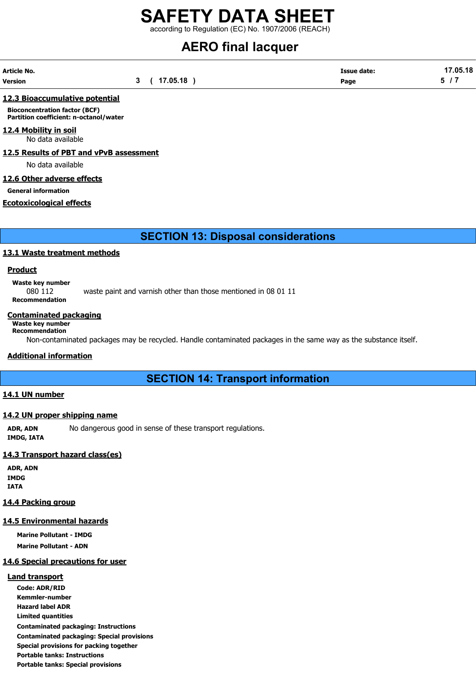according to Regulation (EC) No. 1907/2006 (REACH)

# AERO final lacquer

| Article No. |              | <b>Issue date:</b> | 17.05.18 |
|-------------|--------------|--------------------|----------|
| Version     | 3 ( 17.05.18 | Page               |          |

### 12.3 Bioaccumulative potential

Bioconcentration factor (BCF) Partition coefficient: n-octanol/water

### 12.4 Mobility in soil

No data available

12.5 Results of PBT and vPvB assessment

No data available

### 12.6 Other adverse effects

General information

### Ecotoxicological effects

SECTION 13: Disposal considerations

### 13.1 Waste treatment methods

### **Product**

Waste key number 080 112 waste paint and varnish other than those mentioned in 08 01 11 Recommendation

### Contaminated packaging

### Waste key number

Recommendation Non-contaminated packages may be recycled. Handle contaminated packages in the same way as the substance itself.

### Additional information

### SECTION 14: Transport information

### 14.1 UN number

### 14.2 UN proper shipping name

ADR, ADN No dangerous good in sense of these transport regulations. IMDG, IATA

### 14.3 Transport hazard class(es)

ADR, ADN IMDG IATA

### 14.4 Packing group

### 14.5 Environmental hazards

Marine Pollutant - IMDG

Marine Pollutant - ADN

### 14.6 Special precautions for user

### Land transport

Code: ADR/RID Kemmler-number Hazard label ADR Limited quantities Contaminated packaging: Instructions Contaminated packaging: Special provisions Special provisions for packing together Portable tanks: Instructions Portable tanks: Special provisions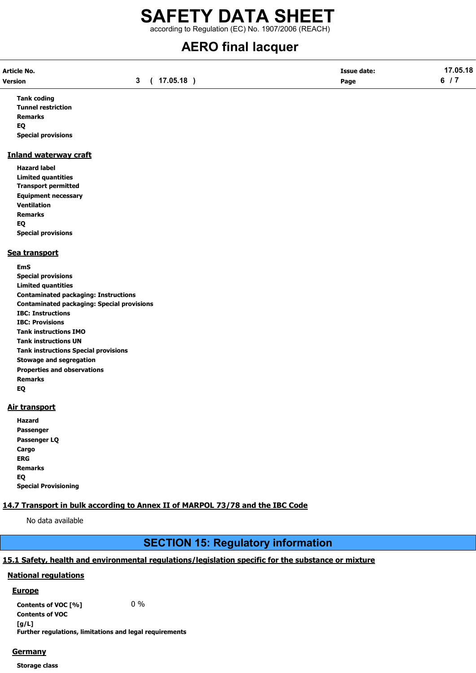according to Regulation (EC) No. 1907/2006 (REACH)

# AERO final lacquer

| Article No. |              | <b>Issue date:</b> | 17.05.18 |
|-------------|--------------|--------------------|----------|
| Version     | 3 ( 17.05.18 | Page               | 6/7      |

Tank coding Tunnel restriction Remarks EQ Special provisions

### Inland waterway craft

Hazard label Limited quantities Transport permitted Equipment necessary Ventilation Remarks EQ Special provisions

### Sea transport

EmS Special provisions Limited quantities Contaminated packaging: Instructions Contaminated packaging: Special provisions IBC: Instructions IBC: Provisions Tank instructions IMO Tank instructions UN Tank instructions Special provisions Stowage and segregation Properties and observations Remarks EQ

### Air transport

Hazard Passenger Passenger LQ **Cargo** ERG Remarks EQ Special Provisioning

### 14.7 Transport in bulk according to Annex II of MARPOL 73/78 and the IBC Code

No data available

## SECTION 15: Regulatory information

### 15.1 Safety, health and environmental regulations/legislation specific for the substance or mixture

### National regulations

### **Europe**

Contents of VOC  $[\%]$  0 % Contents of VOC [g/L] Further regulations, limitations and legal requirements

### **Germany**

Storage class